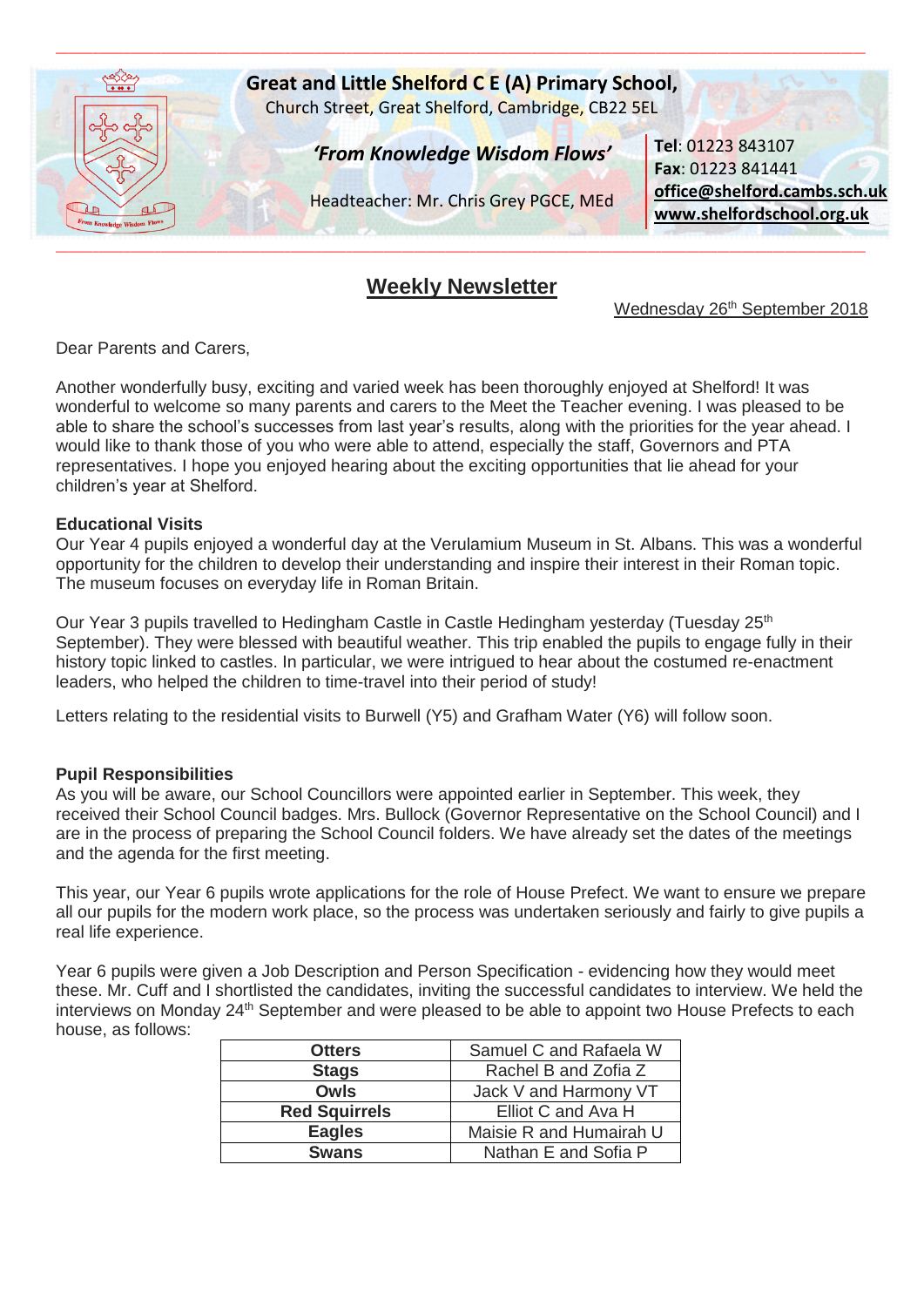

# **Weekly Newsletter**

Wednesday 26<sup>th</sup> September 2018

Dear Parents and Carers,

Another wonderfully busy, exciting and varied week has been thoroughly enjoyed at Shelford! It was wonderful to welcome so many parents and carers to the Meet the Teacher evening. I was pleased to be able to share the school's successes from last year's results, along with the priorities for the year ahead. I would like to thank those of you who were able to attend, especially the staff, Governors and PTA representatives. I hope you enjoyed hearing about the exciting opportunities that lie ahead for your children's year at Shelford.

#### **Educational Visits**

Our Year 4 pupils enjoyed a wonderful day at the Verulamium Museum in St. Albans. This was a wonderful opportunity for the children to develop their understanding and inspire their interest in their Roman topic. The museum focuses on everyday life in Roman Britain.

Our Year 3 pupils travelled to Hedingham Castle in Castle Hedingham vesterday (Tuesday 25<sup>th</sup>) September). They were blessed with beautiful weather. This trip enabled the pupils to engage fully in their history topic linked to castles. In particular, we were intrigued to hear about the costumed re-enactment leaders, who helped the children to time-travel into their period of study!

Letters relating to the residential visits to Burwell (Y5) and Grafham Water (Y6) will follow soon.

### **Pupil Responsibilities**

As you will be aware, our School Councillors were appointed earlier in September. This week, they received their School Council badges. Mrs. Bullock (Governor Representative on the School Council) and I are in the process of preparing the School Council folders. We have already set the dates of the meetings and the agenda for the first meeting.

This year, our Year 6 pupils wrote applications for the role of House Prefect. We want to ensure we prepare all our pupils for the modern work place, so the process was undertaken seriously and fairly to give pupils a real life experience.

Year 6 pupils were given a Job Description and Person Specification - evidencing how they would meet these. Mr. Cuff and I shortlisted the candidates, inviting the successful candidates to interview. We held the interviews on Monday 24<sup>th</sup> September and were pleased to be able to appoint two House Prefects to each house, as follows:

| <b>Otters</b>        | Samuel C and Rafaela W  |
|----------------------|-------------------------|
| <b>Stags</b>         | Rachel B and Zofia Z    |
| <b>Owls</b>          | Jack V and Harmony VT   |
| <b>Red Squirrels</b> | Elliot C and Ava H      |
| <b>Eagles</b>        | Maisie R and Humairah U |
| <b>Swans</b>         | Nathan E and Sofia P    |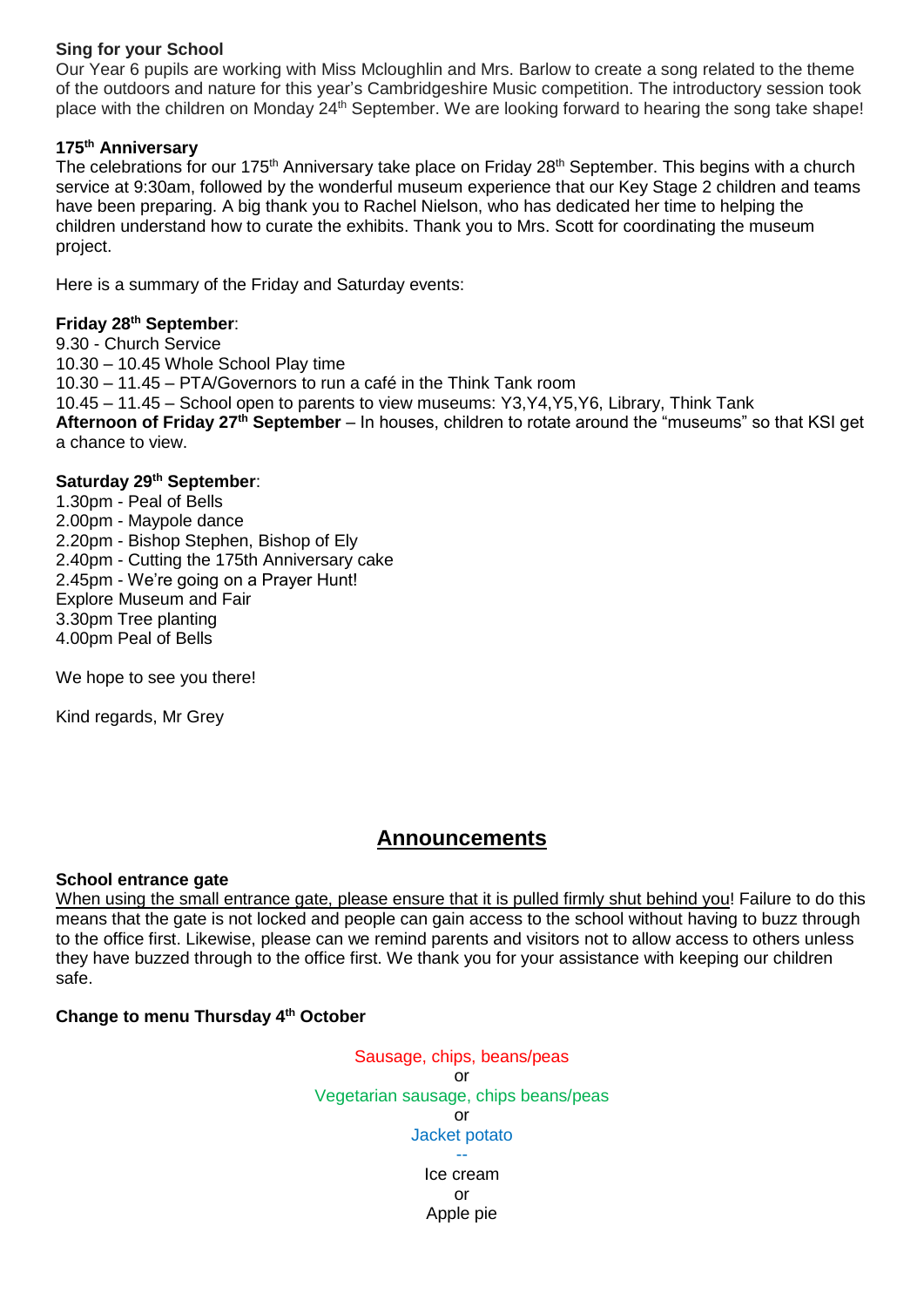### **Sing for your School**

Our Year 6 pupils are working with Miss Mcloughlin and Mrs. Barlow to create a song related to the theme of the outdoors and nature for this year's Cambridgeshire Music competition. The introductory session took place with the children on Monday 24<sup>th</sup> September. We are looking forward to hearing the song take shape!

## **175th Anniversary**

The celebrations for our 175<sup>th</sup> Anniversary take place on Friday 28<sup>th</sup> September. This begins with a church service at 9:30am, followed by the wonderful museum experience that our Key Stage 2 children and teams have been preparing. A big thank you to Rachel Nielson, who has dedicated her time to helping the children understand how to curate the exhibits. Thank you to Mrs. Scott for coordinating the museum project.

Here is a summary of the Friday and Saturday events:

## **Friday 28th September**:

9.30 - Church Service 10.30 – 10.45 Whole School Play time 10.30 – 11.45 – PTA/Governors to run a café in the Think Tank room 10.45 – 11.45 – School open to parents to view museums: Y3,Y4,Y5,Y6, Library, Think Tank **Afternoon of Friday 27th September** – In houses, children to rotate around the "museums" so that KSI get a chance to view.

# **Saturday 29th September**:

1.30pm - Peal of Bells 2.00pm - Maypole dance 2.20pm - Bishop Stephen, Bishop of Ely 2.40pm - Cutting the 175th Anniversary cake 2.45pm - We're going on a Prayer Hunt! Explore Museum and Fair 3.30pm Tree planting 4.00pm Peal of Bells

We hope to see you there!

Kind regards, Mr Grey

# **Announcements**

### **School entrance gate**

When using the small entrance gate, please ensure that it is pulled firmly shut behind you! Failure to do this means that the gate is not locked and people can gain access to the school without having to buzz through to the office first. Likewise, please can we remind parents and visitors not to allow access to others unless they have buzzed through to the office first. We thank you for your assistance with keeping our children safe.

# **Change to menu Thursday 4th October**

Sausage, chips, beans/peas or Vegetarian sausage, chips beans/peas or Jacket potato -- Ice cream

or Apple pie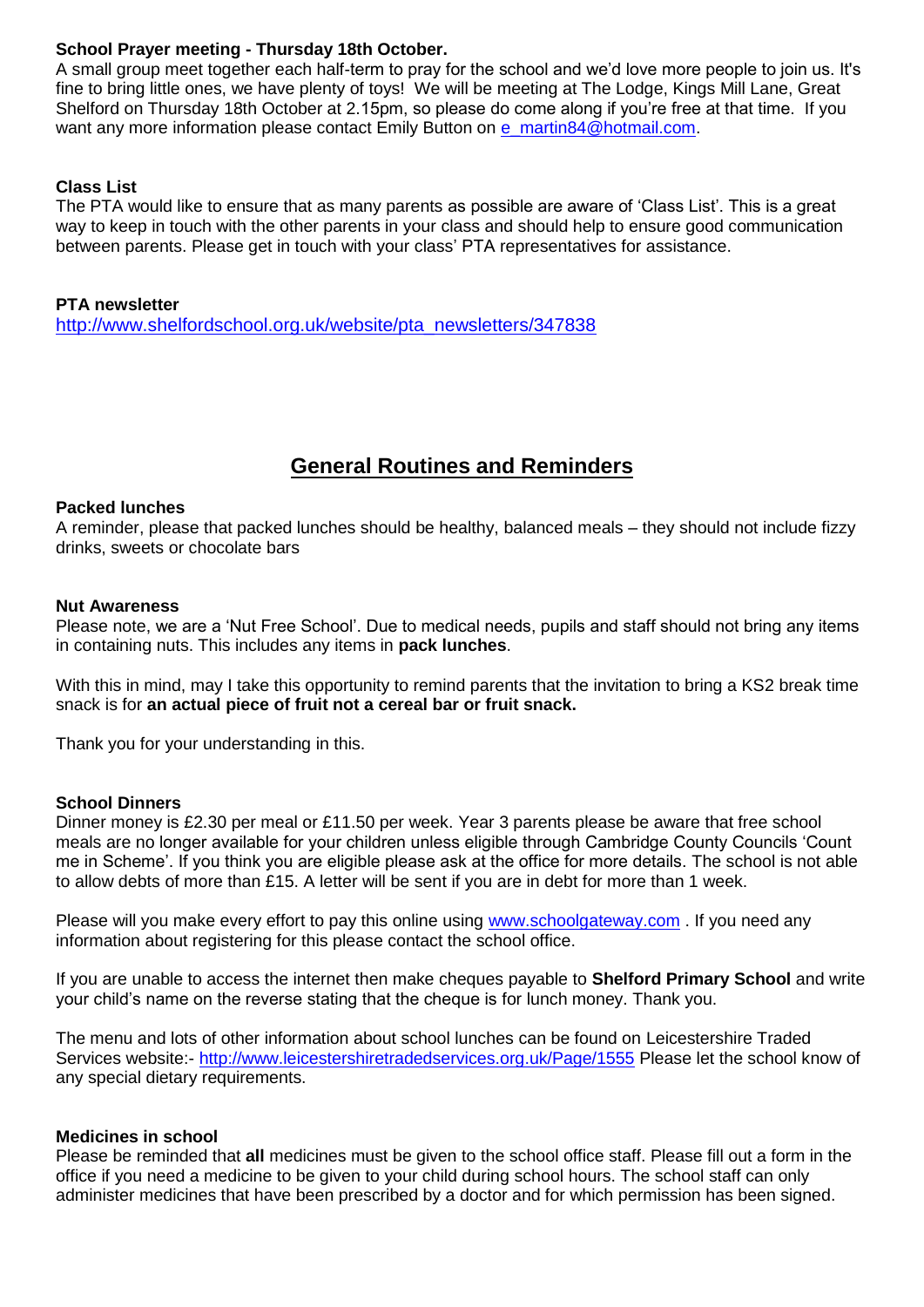### **School Prayer meeting - Thursday 18th October.**

A small group meet together each half-term to pray for the school and we'd love more people to join us. It's fine to bring little ones, we have plenty of toys! We will be meeting at The Lodge, Kings Mill Lane, Great Shelford on Thursday 18th October at 2.15pm, so please do come along if you're free at that time. If you want any more information please contact Emily Button on [e\\_martin84@hotmail.com.](mailto:e_martin84@hotmail.com)

## **Class List**

The PTA would like to ensure that as many parents as possible are aware of 'Class List'. This is a great way to keep in touch with the other parents in your class and should help to ensure good communication between parents. Please get in touch with your class' PTA representatives for assistance.

### **PTA newsletter**

[http://www.shelfordschool.org.uk/website/pta\\_newsletters/347838](http://www.shelfordschool.org.uk/website/pta_newsletters/347838)

# **General Routines and Reminders**

#### **Packed lunches**

A reminder, please that packed lunches should be healthy, balanced meals – they should not include fizzy drinks, sweets or chocolate bars

#### **Nut Awareness**

Please note, we are a 'Nut Free School'. Due to medical needs, pupils and staff should not bring any items in containing nuts. This includes any items in **pack lunches**.

With this in mind, may I take this opportunity to remind parents that the invitation to bring a KS2 break time snack is for **an actual piece of fruit not a cereal bar or fruit snack.**

Thank you for your understanding in this.

### **School Dinners**

Dinner money is £2.30 per meal or £11.50 per week. Year 3 parents please be aware that free school meals are no longer available for your children unless eligible through Cambridge County Councils 'Count me in Scheme'. If you think you are eligible please ask at the office for more details. The school is not able to allow debts of more than £15. A letter will be sent if you are in debt for more than 1 week.

Please will you make every effort to pay this online using [www.schoolgateway.com](http://www.schoolgateway.com/). If you need any information about registering for this please contact the school office.

If you are unable to access the internet then make cheques payable to **Shelford Primary School** and write your child's name on the reverse stating that the cheque is for lunch money. Thank you.

The menu and lots of other information about school lunches can be found on Leicestershire Traded Services website:- <http://www.leicestershiretradedservices.org.uk/Page/1555> Please let the school know of any special dietary requirements.

### **Medicines in school**

Please be reminded that **all** medicines must be given to the school office staff. Please fill out a form in the office if you need a medicine to be given to your child during school hours. The school staff can only administer medicines that have been prescribed by a doctor and for which permission has been signed.